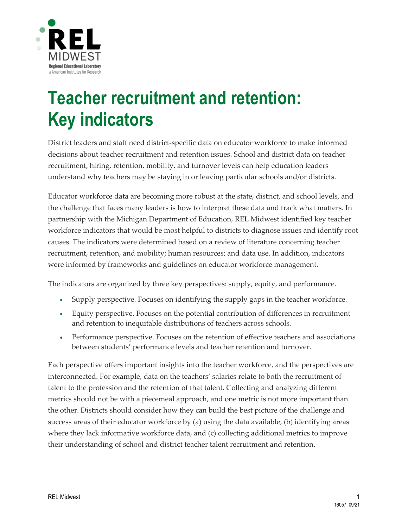

# **Teacher recruitment and retention: Key indicators**

District leaders and staff need district-specific data on educator workforce to make informed decisions about teacher recruitment and retention issues. School and district data on teacher recruitment, hiring, retention, mobility, and turnover levels can help education leaders understand why teachers may be staying in or leaving particular schools and/or districts.

Educator workforce data are becoming more robust at the state, district, and school levels, and the challenge that faces many leaders is how to interpret these data and track what matters. In partnership with the Michigan Department of Education, REL Midwest identified key teacher workforce indicators that would be most helpful to districts to diagnose issues and identify root causes. The indicators were determined based on a review of literature concerning teacher recruitment, retention, and mobility; human resources; and data use. In addition, indicators were informed by frameworks and guidelines on educator workforce management.

The indicators are organized by three key perspectives: supply, equity, and performance.

- Supply perspective. Focuses on identifying the supply gaps in the teacher workforce.
- Equity perspective. Focuses on the potential contribution of differences in recruitment and retention to inequitable distributions of teachers across schools.
- Performance perspective. Focuses on the retention of effective teachers and associations between students' performance levels and teacher retention and turnover.

Each perspective offers important insights into the teacher workforce, and the perspectives are interconnected. For example, data on the teachers' salaries relate to both the recruitment of talent to the profession and the retention of that talent. Collecting and analyzing different metrics should not be with a piecemeal approach, and one metric is not more important than the other. Districts should consider how they can build the best picture of the challenge and success areas of their educator workforce by (a) using the data available, (b) identifying areas where they lack informative workforce data, and (c) collecting additional metrics to improve their understanding of school and district teacher talent recruitment and retention.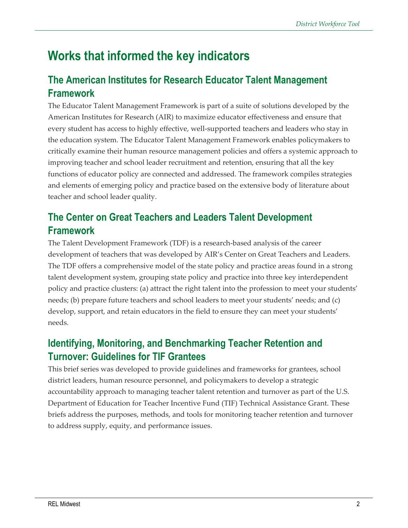## **Works that informed the key indicators**

#### **The American Institutes for Research Educator Talent Management Framework**

The Educator Talent Management Framework is part of a suite of solutions developed by the American Institutes for Research (AIR) to maximize educator effectiveness and ensure that every student has access to highly effective, well-supported teachers and leaders who stay in the education system. The Educator Talent Management Framework enables policymakers to critically examine their human resource management policies and offers a systemic approach to improving teacher and school leader recruitment and retention, ensuring that all the key functions of educator policy are connected and addressed. The framework compiles strategies and elements of emerging policy and practice based on the extensive body of literature about teacher and school leader quality.

### **The Center on Great Teachers and Leaders Talent Development Framework**

The Talent Development Framework (TDF) is a research-based analysis of the career development of teachers that was developed by AIR's Center on Great Teachers and Leaders. The TDF offers a comprehensive model of the state policy and practice areas found in a strong talent development system, grouping state policy and practice into three key interdependent policy and practice clusters: (a) attract the right talent into the profession to meet your students' needs; (b) prepare future teachers and school leaders to meet your students' needs; and (c) develop, support, and retain educators in the field to ensure they can meet your students' needs.

#### **Identifying, Monitoring, and Benchmarking Teacher Retention and Turnover: Guidelines for TIF Grantees**

This brief series was developed to provide guidelines and frameworks for grantees, school district leaders, human resource personnel, and policymakers to develop a strategic accountability approach to managing teacher talent retention and turnover as part of the U.S. Department of Education for Teacher Incentive Fund (TIF) Technical Assistance Grant. These briefs address the purposes, methods, and tools for monitoring teacher retention and turnover to address supply, equity, and performance issues.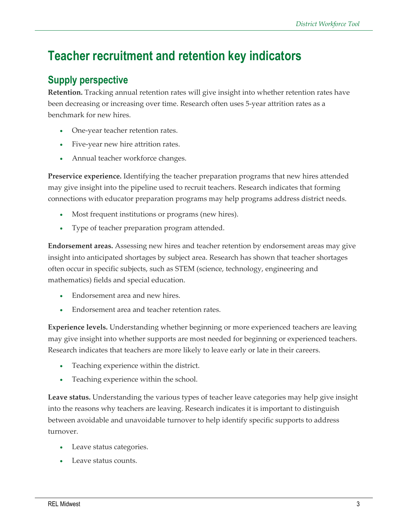## **Teacher recruitment and retention key indicators**

#### **Supply perspective**

**Retention.** Tracking annual retention rates will give insight into whether retention rates have been decreasing or increasing over time. Research often uses 5-year attrition rates as a benchmark for new hires.

- One-year teacher retention rates.
- Five-year new hire attrition rates.
- Annual teacher workforce changes.

**Preservice experience.** Identifying the teacher preparation programs that new hires attended may give insight into the pipeline used to recruit teachers. Research indicates that forming connections with educator preparation programs may help programs address district needs.

- Most frequent institutions or programs (new hires).
- Type of teacher preparation program attended.

**Endorsement areas.** Assessing new hires and teacher retention by endorsement areas may give insight into anticipated shortages by subject area. Research has shown that teacher shortages often occur in specific subjects, such as STEM (science, technology, engineering and mathematics) fields and special education.

- Endorsement area and new hires.
- Endorsement area and teacher retention rates.

**Experience levels.** Understanding whether beginning or more experienced teachers are leaving may give insight into whether supports are most needed for beginning or experienced teachers. Research indicates that teachers are more likely to leave early or late in their careers.

- Teaching experience within the district.
- Teaching experience within the school.

**Leave status.** Understanding the various types of teacher leave categories may help give insight into the reasons why teachers are leaving. Research indicates it is important to distinguish between avoidable and unavoidable turnover to help identify specific supports to address turnover.

- Leave status categories.
- Leave status counts.